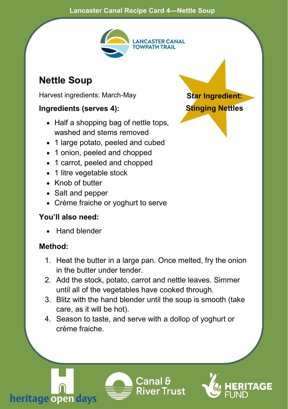#### **Lancaster Canal Recipe Card 4—Nettle Soup**



## **Nettle Soup**

Harvest ingredients: March-May

#### **Ingredients (serves 4):**

- Half a shopping bag of nettle tops. washed and stems removed
- 1 large potato, peeled and cubed
- 1 onion, peeled and chopped
- 1 carrot, peeled and chopped
- 1 litre vegetable stock
- Knob of butter
- Salt and pepper
- Crème fraiche or yoghurt to serve

### **You'll also need:**

• Hand blender

### **Method:**

- 1. Heat the butter in a large pan. Once melted, fry the onion in the butter under tender.
- 2. Add the stock, potato, carrot and nettle leaves. Simmer until all of the vegetables have cooked through.
- 3. Blitz with the hand blender until the soup is smooth (take care, as it will be hot).
- 4. Season to taste, and serve with a dollop of yoghurt or crème fraiche.







**Star Ingredient: Stinging Nettles**